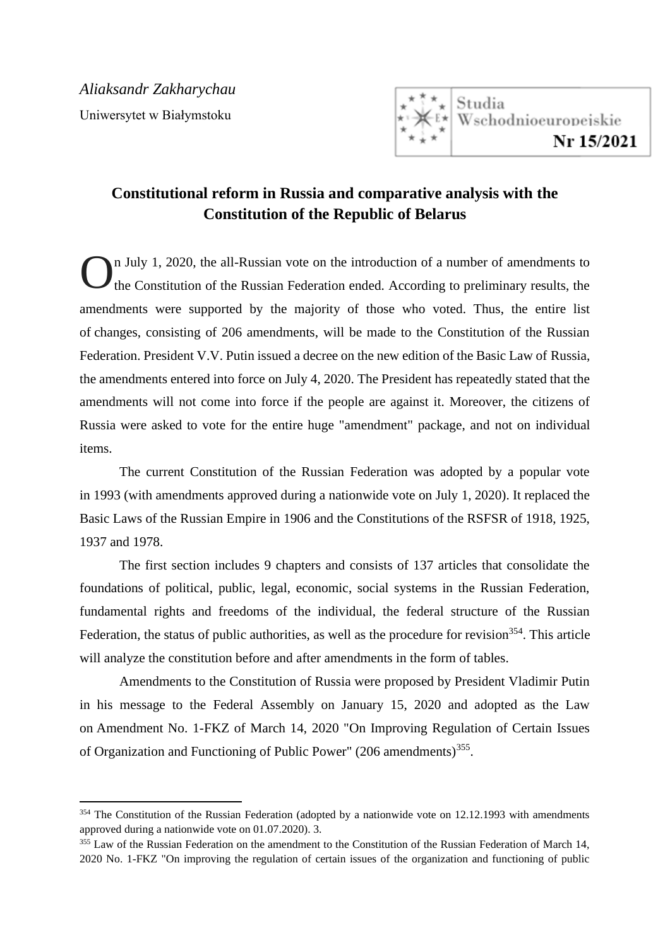

# **Constitutional reform in Russia and comparative analysis with the Constitution of the Republic of Belarus**

n July 1, 2020, the all-Russian vote on the introduction of a number of amendments to the Constitution of the Russian Federation ended. According to preliminary results, the amendments were supported by the majority of those who voted. Thus, the entire list of changes, consisting of 206 amendments, will be made to the Constitution of the Russian Federation. President V.V. Putin issued a decree on the new edition of the Basic Law of Russia, the amendments entered into force on July 4, 2020. The President has repeatedly stated that the amendments will not come into force if the people are against it. Moreover, the citizens of Russia were asked to vote for the entire huge "amendment" package, and not on individual items. O

The current Constitution of the Russian Federation was adopted by a popular vote in 1993 (with amendments approved during a nationwide vote on July 1, 2020). It replaced the Basic Laws of the Russian Empire in 1906 and the Constitutions of the RSFSR of 1918, 1925, 1937 and 1978.

The first section includes 9 chapters and consists of 137 articles that consolidate the foundations of political, public, legal, economic, social systems in the Russian Federation, fundamental rights and freedoms of the individual, the federal structure of the Russian Federation, the status of public authorities, as well as the procedure for revision<sup>354</sup>. This article will analyze the constitution before and after amendments in the form of tables.

Amendments to the Constitution of Russia were proposed by President Vladimir Putin in his message to the Federal Assembly on January 15, 2020 and adopted as the Law on Amendment No. 1-FKZ of March 14, 2020 "On Improving Regulation of Certain Issues of Organization and Functioning of Public Power" (206 amendments)<sup>355</sup>.

<sup>&</sup>lt;sup>354</sup> The Constitution of the Russian Federation (adopted by a nationwide vote on 12.12.1993 with amendments approved during a nationwide vote on 01.07.2020). 3.

<sup>&</sup>lt;sup>355</sup> Law of the Russian Federation on the amendment to the Constitution of the Russian Federation of March 14, 2020 No. 1-FKZ "On improving the regulation of certain issues of the organization and functioning of public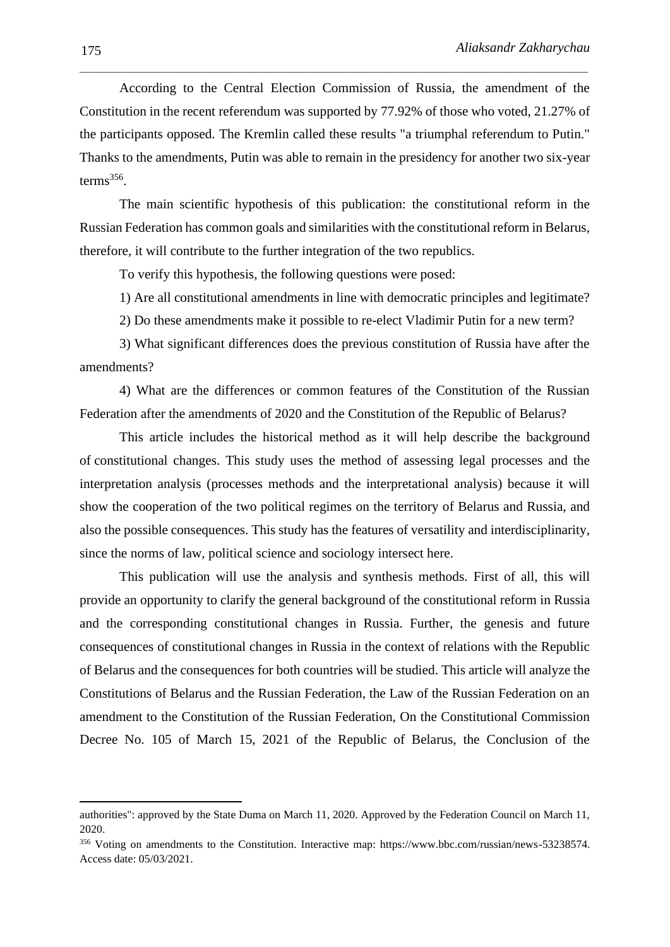According to the Central Election Commission of Russia, the amendment of the Constitution in the recent referendum was supported by 77.92% of those who voted, 21.27% of the participants opposed. The Kremlin called these results "a triumphal referendum to Putin." Thanks to the amendments, Putin was able to remain in the presidency for another two six-year  $terms<sup>356</sup>$ .

\_\_\_\_\_\_\_\_\_\_\_\_\_\_\_\_\_\_\_\_\_\_\_\_\_\_\_\_\_\_\_\_\_\_\_\_\_\_\_\_\_\_\_\_\_\_\_\_\_\_\_\_\_\_\_\_\_\_\_\_\_\_\_\_\_\_\_\_\_\_\_\_\_\_\_\_\_\_\_\_\_\_\_\_\_\_\_\_\_\_\_\_\_\_\_\_\_\_\_\_\_\_\_\_\_\_\_\_\_\_\_\_\_

The main scientific hypothesis of this publication: the constitutional reform in the Russian Federation has common goals and similarities with the constitutional reform in Belarus, therefore, it will contribute to the further integration of the two republics.

To verify this hypothesis, the following questions were posed:

1) Are all constitutional amendments in line with democratic principles and legitimate?

2) Do these amendments make it possible to re-elect Vladimir Putin for a new term?

3) What significant differences does the previous constitution of Russia have after the amendments?

4) What are the differences or common features of the Constitution of the Russian Federation after the amendments of 2020 and the Constitution of the Republic of Belarus?

This article includes the historical method as it will help describe the background of constitutional changes. This study uses the method of assessing legal processes and the interpretation analysis (processes methods and the interpretational analysis) because it will show the cooperation of the two political regimes on the territory of Belarus and Russia, and also the possible consequences. This study has the features of versatility and interdisciplinarity, since the norms of law, political science and sociology intersect here.

This publication will use the analysis and synthesis methods. First of all, this will provide an opportunity to clarify the general background of the constitutional reform in Russia and the corresponding constitutional changes in Russia. Further, the genesis and future consequences of constitutional changes in Russia in the context of relations with the Republic of Belarus and the consequences for both countries will be studied. This article will analyze the Constitutions of Belarus and the Russian Federation, the Law of the Russian Federation on an amendment to the Constitution of the Russian Federation, On the Constitutional Commission Decree No. 105 of March 15, 2021 of the Republic of Belarus, the Conclusion of the

authorities": approved by the State Duma on March 11, 2020. Approved by the Federation Council on March 11, 2020.

<sup>356</sup> Voting on amendments to the Constitution. Interactive map: https://www.bbc.com/russian/news-53238574. Access date: 05/03/2021.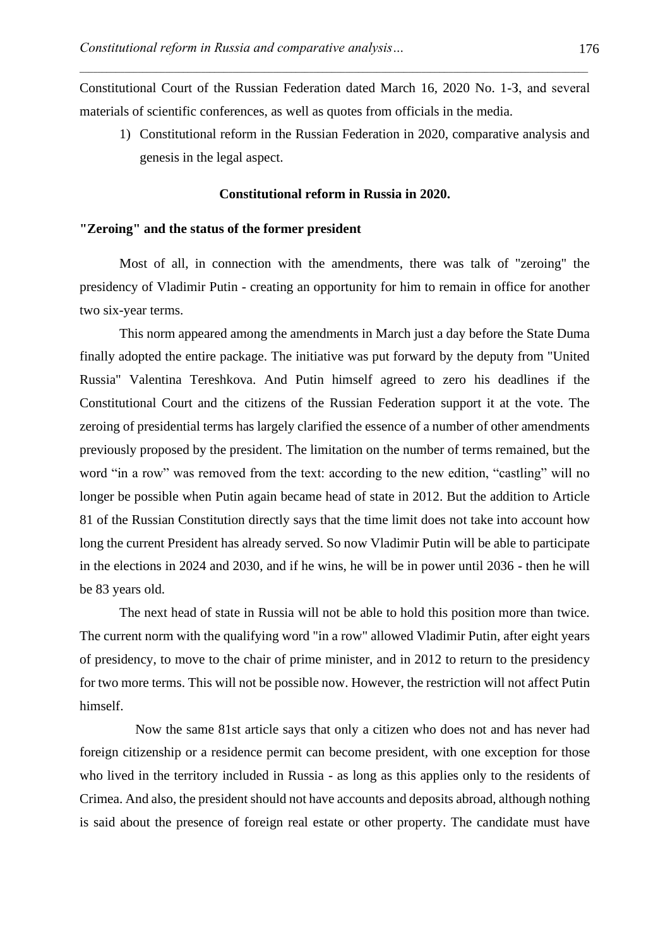Constitutional Court of the Russian Federation dated March 16, 2020 No. 1-З, and several materials of scientific conferences, as well as quotes from officials in the media.

\_\_\_\_\_\_\_\_\_\_\_\_\_\_\_\_\_\_\_\_\_\_\_\_\_\_\_\_\_\_\_\_\_\_\_\_\_\_\_\_\_\_\_\_\_\_\_\_\_\_\_\_\_\_\_\_\_\_\_\_\_\_\_\_\_\_\_\_\_\_\_\_\_\_\_\_\_\_\_\_\_\_\_\_\_\_\_\_\_\_\_\_\_\_\_\_\_\_\_\_\_\_\_\_\_\_\_\_\_\_\_\_\_

1) Constitutional reform in the Russian Federation in 2020, comparative analysis and genesis in the legal aspect.

## **Constitutional reform in Russia in 2020.**

#### **"Zeroing" and the status of the former president**

Most of all, in connection with the amendments, there was talk of "zeroing" the presidency of Vladimir Putin - creating an opportunity for him to remain in office for another two six-year terms.

This norm appeared among the amendments in March just a day before the State Duma finally adopted the entire package. The initiative was put forward by the deputy from "United Russia" Valentina Tereshkova. And Putin himself agreed to zero his deadlines if the Constitutional Court and the citizens of the Russian Federation support it at the vote. The zeroing of presidential terms has largely clarified the essence of a number of other amendments previously proposed by the president. The limitation on the number of terms remained, but the word "in a row" was removed from the text: according to the new edition, "castling" will no longer be possible when Putin again became head of state in 2012. But the addition to Article 81 of the Russian Constitution directly says that the time limit does not take into account how long the current President has already served. So now Vladimir Putin will be able to participate in the elections in 2024 and 2030, and if he wins, he will be in power until 2036 - then he will be 83 years old.

The next head of state in Russia will not be able to hold this position more than twice. The current norm with the qualifying word "in a row" allowed Vladimir Putin, after eight years of presidency, to move to the chair of prime minister, and in 2012 to return to the presidency for two more terms. This will not be possible now. However, the restriction will not affect Putin himself.

Now the same 81st article says that only a citizen who does not and has never had foreign citizenship or a residence permit can become president, with one exception for those who lived in the territory included in Russia - as long as this applies only to the residents of Crimea. And also, the president should not have accounts and deposits abroad, although nothing is said about the presence of foreign real estate or other property. The candidate must have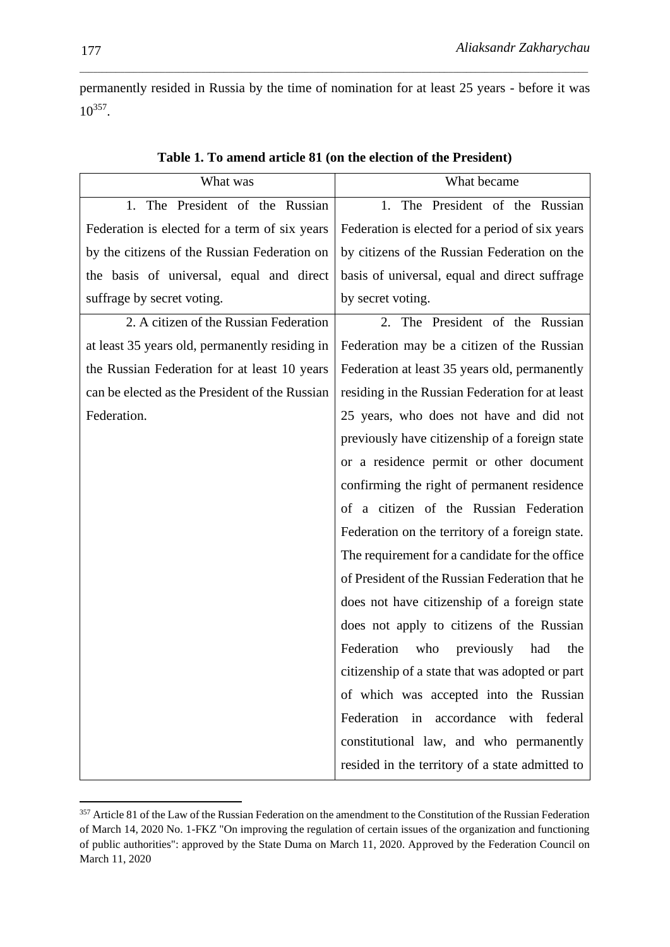permanently resided in Russia by the time of nomination for at least 25 years - before it was 10<sup>357</sup> .

\_\_\_\_\_\_\_\_\_\_\_\_\_\_\_\_\_\_\_\_\_\_\_\_\_\_\_\_\_\_\_\_\_\_\_\_\_\_\_\_\_\_\_\_\_\_\_\_\_\_\_\_\_\_\_\_\_\_\_\_\_\_\_\_\_\_\_\_\_\_\_\_\_\_\_\_\_\_\_\_\_\_\_\_\_\_\_\_\_\_\_\_\_\_\_\_\_\_\_\_\_\_\_\_\_\_\_\_\_\_\_\_\_

| What was                                       | What became                                     |
|------------------------------------------------|-------------------------------------------------|
| 1. The President of the Russian                | The President of the Russian<br>1.              |
| Federation is elected for a term of six years  | Federation is elected for a period of six years |
| by the citizens of the Russian Federation on   | by citizens of the Russian Federation on the    |
| the basis of universal, equal and direct       | basis of universal, equal and direct suffrage   |
| suffrage by secret voting.                     | by secret voting.                               |
| 2. A citizen of the Russian Federation         | 2. The President of the Russian                 |
| at least 35 years old, permanently residing in | Federation may be a citizen of the Russian      |
| the Russian Federation for at least 10 years   | Federation at least 35 years old, permanently   |
| can be elected as the President of the Russian | residing in the Russian Federation for at least |
| Federation.                                    | 25 years, who does not have and did not         |
|                                                | previously have citizenship of a foreign state  |
|                                                | or a residence permit or other document         |
|                                                | confirming the right of permanent residence     |
|                                                | of a citizen of the Russian Federation          |
|                                                | Federation on the territory of a foreign state. |
|                                                | The requirement for a candidate for the office  |
|                                                | of President of the Russian Federation that he  |
|                                                | does not have citizenship of a foreign state    |
|                                                | does not apply to citizens of the Russian       |
|                                                | Federation<br>who<br>previously<br>had<br>the   |
|                                                | citizenship of a state that was adopted or part |
|                                                | of which was accepted into the Russian          |
|                                                | Federation in accordance<br>with federal        |
|                                                | constitutional law, and who permanently         |
|                                                | resided in the territory of a state admitted to |

# **Table 1. To amend article 81 (on the election of the President)**

<sup>&</sup>lt;sup>357</sup> Article 81 of the Law of the Russian Federation on the amendment to the Constitution of the Russian Federation of March 14, 2020 No. 1-FKZ "On improving the regulation of certain issues of the organization and functioning of public authorities": approved by the State Duma on March 11, 2020. Approved by the Federation Council on March 11, 2020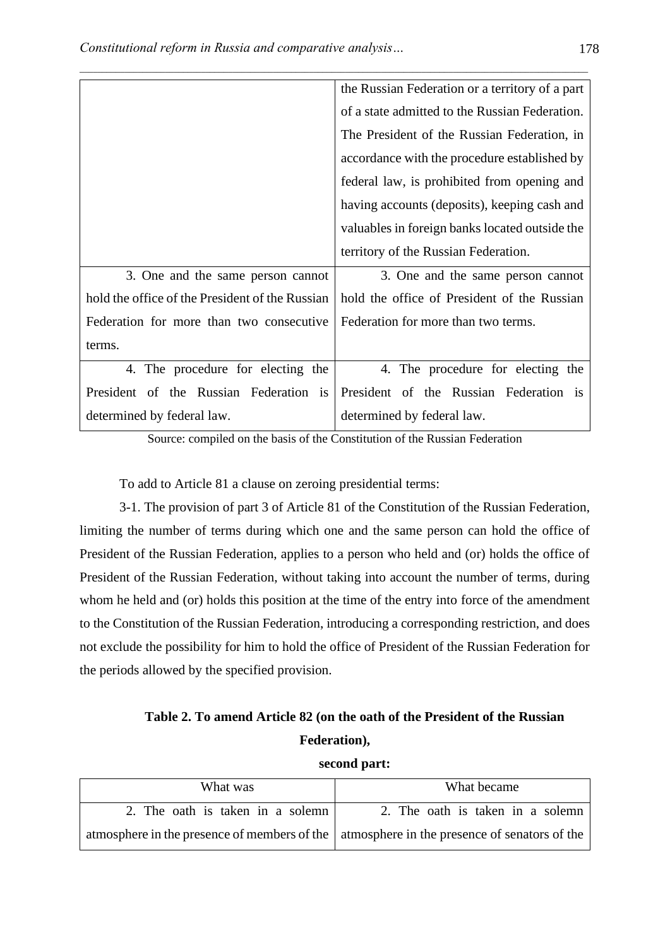|                                                 | the Russian Federation or a territory of a part |
|-------------------------------------------------|-------------------------------------------------|
|                                                 | of a state admitted to the Russian Federation.  |
|                                                 | The President of the Russian Federation, in     |
|                                                 | accordance with the procedure established by    |
|                                                 | federal law, is prohibited from opening and     |
|                                                 | having accounts (deposits), keeping cash and    |
|                                                 | valuables in foreign banks located outside the  |
|                                                 | territory of the Russian Federation.            |
| 3. One and the same person cannot               | 3. One and the same person cannot               |
| hold the office of the President of the Russian | hold the office of President of the Russian     |
| Federation for more than two consecutive        | Federation for more than two terms.             |
| terms.                                          |                                                 |
| 4. The procedure for electing the               | 4. The procedure for electing the               |
| President of the Russian Federation is          | President of the Russian Federation is          |
| determined by federal law.                      | determined by federal law.                      |

Source: compiled on the basis of the Constitution of the Russian Federation

To add to Article 81 a clause on zeroing presidential terms:

3-1. The provision of part 3 of Article 81 of the Constitution of the Russian Federation, limiting the number of terms during which one and the same person can hold the office of President of the Russian Federation, applies to a person who held and (or) holds the office of President of the Russian Federation, without taking into account the number of terms, during whom he held and (or) holds this position at the time of the entry into force of the amendment to the Constitution of the Russian Federation, introducing a corresponding restriction, and does not exclude the possibility for him to hold the office of President of the Russian Federation for the periods allowed by the specified provision.

# **Table 2. To amend Article 82 (on the oath of the President of the Russian Federation),**

**second part:**

| What was                                                                                     | What became                      |
|----------------------------------------------------------------------------------------------|----------------------------------|
| 2. The oath is taken in a solemn                                                             | 2. The oath is taken in a solemn |
| atmosphere in the presence of members of the   atmosphere in the presence of senators of the |                                  |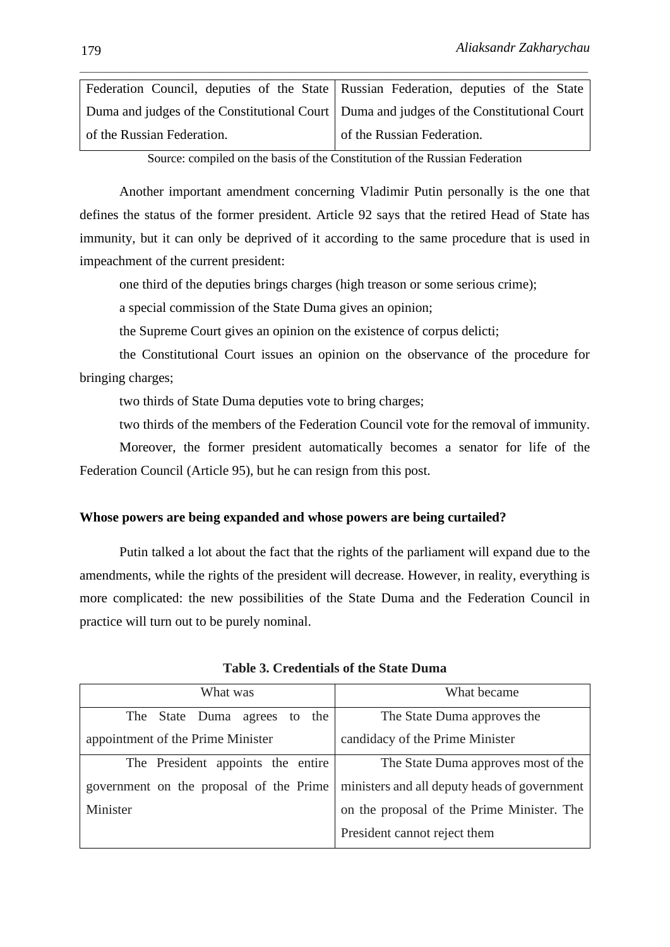| Federation Council, deputies of the State Russian Federation, deputies of the State       |                            |
|-------------------------------------------------------------------------------------------|----------------------------|
| Duma and judges of the Constitutional Court   Duma and judges of the Constitutional Court |                            |
| of the Russian Federation.                                                                | of the Russian Federation. |

Source: compiled on the basis of the Constitution of the Russian Federation

Another important amendment concerning Vladimir Putin personally is the one that defines the status of the former president. Article 92 says that the retired Head of State has immunity, but it can only be deprived of it according to the same procedure that is used in impeachment of the current president:

one third of the deputies brings charges (high treason or some serious crime);

a special commission of the State Duma gives an opinion;

the Supreme Court gives an opinion on the existence of corpus delicti;

the Constitutional Court issues an opinion on the observance of the procedure for bringing charges;

two thirds of State Duma deputies vote to bring charges;

two thirds of the members of the Federation Council vote for the removal of immunity.

Moreover, the former president automatically becomes a senator for life of the Federation Council (Article 95), but he can resign from this post.

#### **Whose powers are being expanded and whose powers are being curtailed?**

Putin talked a lot about the fact that the rights of the parliament will expand due to the amendments, while the rights of the president will decrease. However, in reality, everything is more complicated: the new possibilities of the State Duma and the Federation Council in practice will turn out to be purely nominal.

| What was                                | What became                                  |
|-----------------------------------------|----------------------------------------------|
| The State Duma agrees to the            | The State Duma approves the                  |
| appointment of the Prime Minister       | candidacy of the Prime Minister              |
| The President appoints the entire       | The State Duma approves most of the          |
| government on the proposal of the Prime | ministers and all deputy heads of government |
| Minister                                | on the proposal of the Prime Minister. The   |
|                                         | President cannot reject them                 |

**Table 3. Credentials of the State Duma**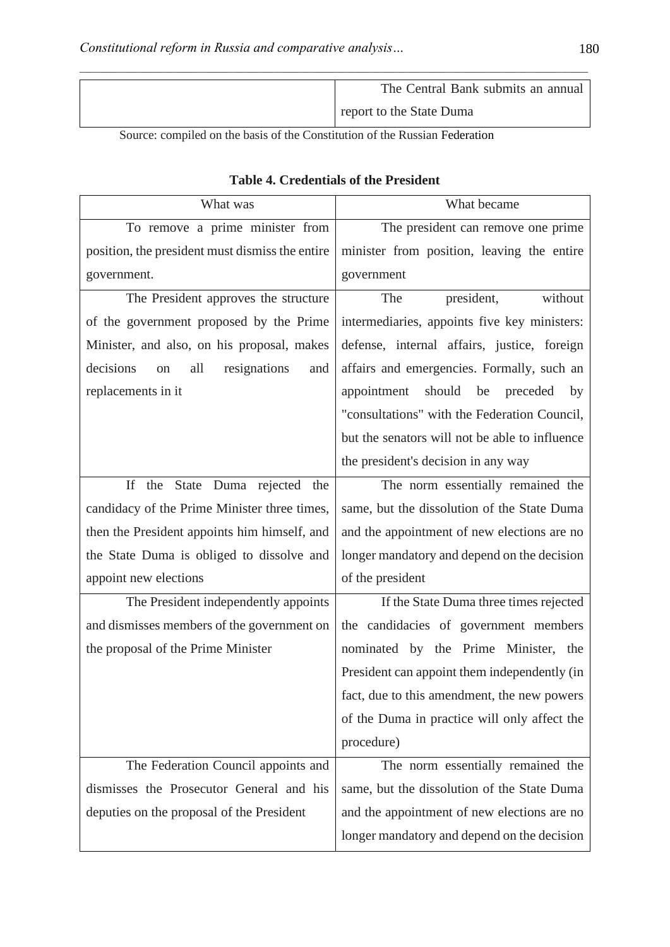| The Central Bank submits an annual |
|------------------------------------|
| report to the State Duma           |

# Source: compiled on the basis of the Constitution of the Russian Federation

| What was                                        | What became                                    |
|-------------------------------------------------|------------------------------------------------|
| To remove a prime minister from                 | The president can remove one prime             |
| position, the president must dismiss the entire | minister from position, leaving the entire     |
| government.                                     | government                                     |
| The President approves the structure            | The<br>president,<br>without                   |
| of the government proposed by the Prime         | intermediaries, appoints five key ministers:   |
| Minister, and also, on his proposal, makes      | defense, internal affairs, justice, foreign    |
| decisions<br>all<br>resignations<br>on<br>and   | affairs and emergencies. Formally, such an     |
| replacements in it                              | should be<br>preceded<br>appointment<br>by     |
|                                                 | "consultations" with the Federation Council,   |
|                                                 | but the senators will not be able to influence |
|                                                 | the president's decision in any way            |
| If the<br>State Duma rejected the               | The norm essentially remained the              |
| candidacy of the Prime Minister three times,    | same, but the dissolution of the State Duma    |
| then the President appoints him himself, and    | and the appointment of new elections are no    |
| the State Duma is obliged to dissolve and       | longer mandatory and depend on the decision    |
| appoint new elections                           | of the president                               |
| The President independently appoints            | If the State Duma three times rejected         |
| and dismisses members of the government on      | the candidacies of government members          |
| the proposal of the Prime Minister              | nominated by the Prime Minister, the           |
|                                                 | President can appoint them independently (in   |
|                                                 | fact, due to this amendment, the new powers    |
|                                                 | of the Duma in practice will only affect the   |
|                                                 | procedure)                                     |
| The Federation Council appoints and             | The norm essentially remained the              |
| dismisses the Prosecutor General and his        | same, but the dissolution of the State Duma    |
| deputies on the proposal of the President       | and the appointment of new elections are no    |
|                                                 | longer mandatory and depend on the decision    |

# **Table 4. Credentials of the President**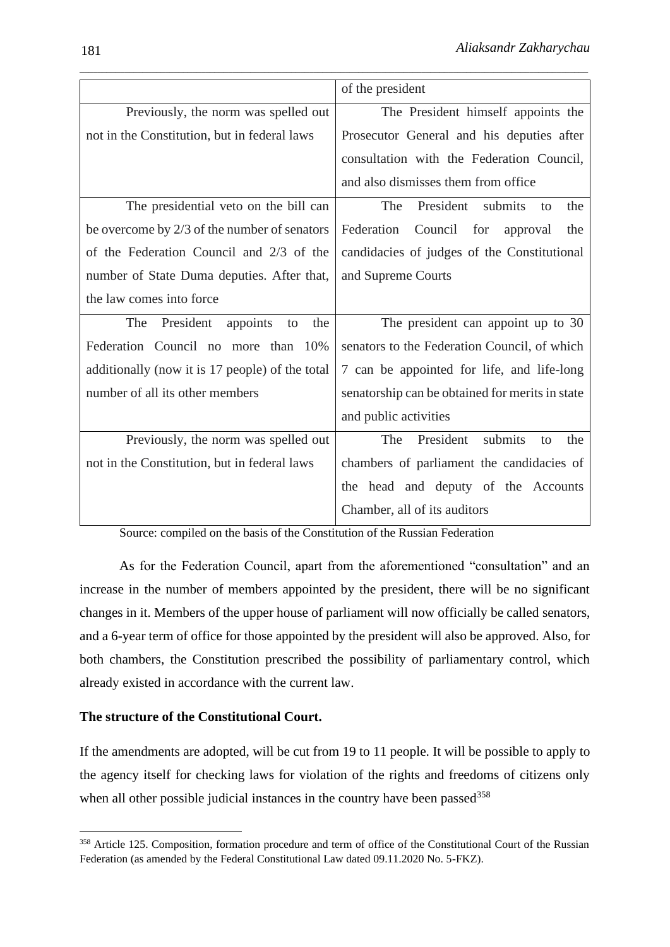|                                                 | of the president                                |
|-------------------------------------------------|-------------------------------------------------|
| Previously, the norm was spelled out            | The President himself appoints the              |
| not in the Constitution, but in federal laws    | Prosecutor General and his deputies after       |
|                                                 | consultation with the Federation Council,       |
|                                                 | and also dismisses them from office             |
| The presidential veto on the bill can           | President submits<br>The<br>the<br>to           |
| be overcome by 2/3 of the number of senators    | Federation<br>Council for<br>approval<br>the    |
| of the Federation Council and 2/3 of the        | candidacies of judges of the Constitutional     |
| number of State Duma deputies. After that,      | and Supreme Courts                              |
| the law comes into force                        |                                                 |
| President<br>The<br>appoints<br>the<br>to       | The president can appoint up to 30              |
| Federation Council no more than 10%             | senators to the Federation Council, of which    |
| additionally (now it is 17 people) of the total | 7 can be appointed for life, and life-long      |
| number of all its other members                 | senatorship can be obtained for merits in state |
|                                                 | and public activities                           |
| Previously, the norm was spelled out            | President<br>The<br>submits<br>the<br>to        |
| not in the Constitution, but in federal laws    | chambers of parliament the candidacies of       |
|                                                 | the head and deputy of the Accounts             |
|                                                 | Chamber, all of its auditors                    |

Source: compiled on the basis of the Constitution of the Russian Federation

As for the Federation Council, apart from the aforementioned "consultation" and an increase in the number of members appointed by the president, there will be no significant changes in it. Members of the upper house of parliament will now officially be called senators, and a 6-year term of office for those appointed by the president will also be approved. Also, for both chambers, the Constitution prescribed the possibility of parliamentary control, which already existed in accordance with the current law.

### **The structure of the Constitutional Court.**

If the amendments are adopted, will be cut from 19 to 11 people. It will be possible to apply to the agency itself for checking laws for violation of the rights and freedoms of citizens only when all other possible judicial instances in the country have been passed<sup>358</sup>

<sup>&</sup>lt;sup>358</sup> Article 125. Composition, formation procedure and term of office of the Constitutional Court of the Russian Federation (as amended by the Federal Constitutional Law dated 09.11.2020 No. 5-FKZ).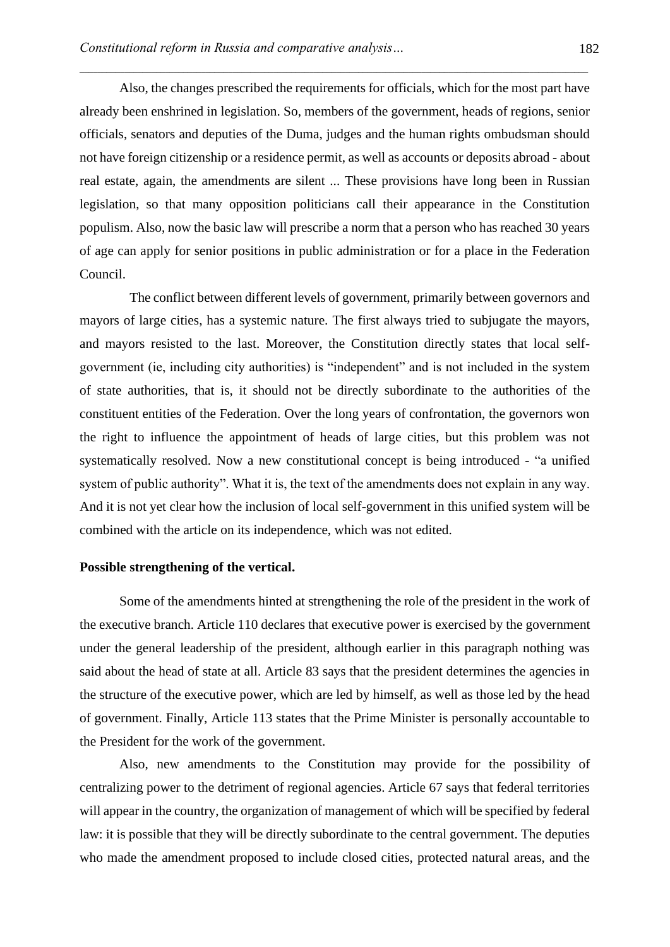Also, the changes prescribed the requirements for officials, which for the most part have already been enshrined in legislation. So, members of the government, heads of regions, senior officials, senators and deputies of the Duma, judges and the human rights ombudsman should not have foreign citizenship or a residence permit, as well as accounts or deposits abroad - about real estate, again, the amendments are silent ... These provisions have long been in Russian legislation, so that many opposition politicians call their appearance in the Constitution populism. Also, now the basic law will prescribe a norm that a person who has reached 30 years of age can apply for senior positions in public administration or for a place in the Federation Council.

\_\_\_\_\_\_\_\_\_\_\_\_\_\_\_\_\_\_\_\_\_\_\_\_\_\_\_\_\_\_\_\_\_\_\_\_\_\_\_\_\_\_\_\_\_\_\_\_\_\_\_\_\_\_\_\_\_\_\_\_\_\_\_\_\_\_\_\_\_\_\_\_\_\_\_\_\_\_\_\_\_\_\_\_\_\_\_\_\_\_\_\_\_\_\_\_\_\_\_\_\_\_\_\_\_\_\_\_\_\_\_\_\_

The conflict between different levels of government, primarily between governors and mayors of large cities, has a systemic nature. The first always tried to subjugate the mayors, and mayors resisted to the last. Moreover, the Constitution directly states that local selfgovernment (ie, including city authorities) is "independent" and is not included in the system of state authorities, that is, it should not be directly subordinate to the authorities of the constituent entities of the Federation. Over the long years of confrontation, the governors won the right to influence the appointment of heads of large cities, but this problem was not systematically resolved. Now a new constitutional concept is being introduced - "a unified system of public authority". What it is, the text of the amendments does not explain in any way. And it is not yet clear how the inclusion of local self-government in this unified system will be combined with the article on its independence, which was not edited.

#### **Possible strengthening of the vertical.**

Some of the amendments hinted at strengthening the role of the president in the work of the executive branch. Article 110 declares that executive power is exercised by the government under the general leadership of the president, although earlier in this paragraph nothing was said about the head of state at all. Article 83 says that the president determines the agencies in the structure of the executive power, which are led by himself, as well as those led by the head of government. Finally, Article 113 states that the Prime Minister is personally accountable to the President for the work of the government.

Also, new amendments to the Constitution may provide for the possibility of centralizing power to the detriment of regional agencies. Article 67 says that federal territories will appear in the country, the organization of management of which will be specified by federal law: it is possible that they will be directly subordinate to the central government. The deputies who made the amendment proposed to include closed cities, protected natural areas, and the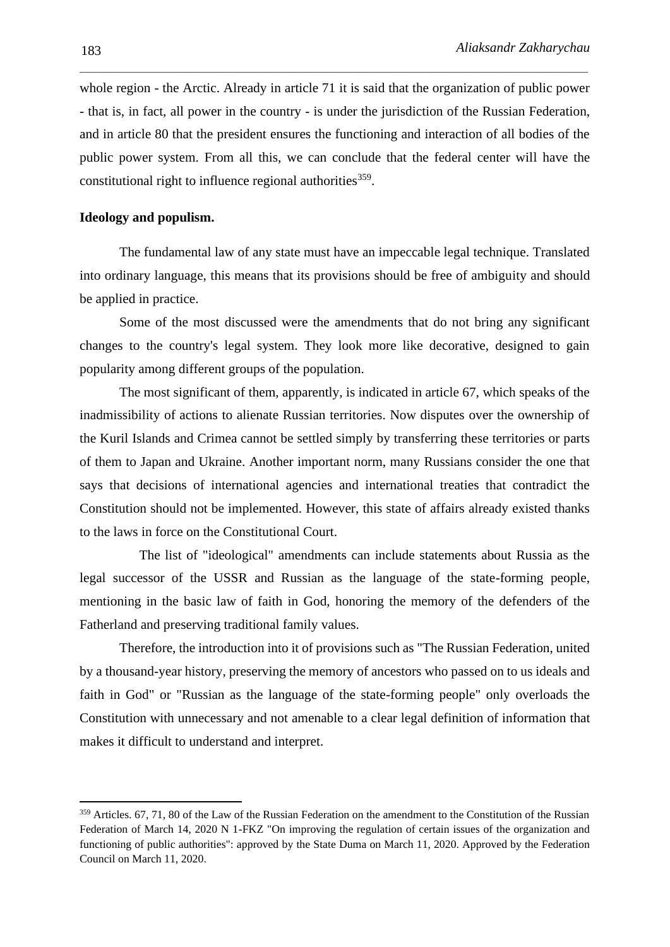whole region - the Arctic. Already in article 71 it is said that the organization of public power - that is, in fact, all power in the country - is under the jurisdiction of the Russian Federation, and in article 80 that the president ensures the functioning and interaction of all bodies of the public power system. From all this, we can conclude that the federal center will have the constitutional right to influence regional authorities<sup>359</sup>.

\_\_\_\_\_\_\_\_\_\_\_\_\_\_\_\_\_\_\_\_\_\_\_\_\_\_\_\_\_\_\_\_\_\_\_\_\_\_\_\_\_\_\_\_\_\_\_\_\_\_\_\_\_\_\_\_\_\_\_\_\_\_\_\_\_\_\_\_\_\_\_\_\_\_\_\_\_\_\_\_\_\_\_\_\_\_\_\_\_\_\_\_\_\_\_\_\_\_\_\_\_\_\_\_\_\_\_\_\_\_\_\_\_

## **Ideology and populism.**

The fundamental law of any state must have an impeccable legal technique. Translated into ordinary language, this means that its provisions should be free of ambiguity and should be applied in practice.

Some of the most discussed were the amendments that do not bring any significant changes to the country's legal system. They look more like decorative, designed to gain popularity among different groups of the population.

The most significant of them, apparently, is indicated in article 67, which speaks of the inadmissibility of actions to alienate Russian territories. Now disputes over the ownership of the Kuril Islands and Crimea cannot be settled simply by transferring these territories or parts of them to Japan and Ukraine. Another important norm, many Russians consider the one that says that decisions of international agencies and international treaties that contradict the Constitution should not be implemented. However, this state of affairs already existed thanks to the laws in force on the Constitutional Court.

The list of "ideological" amendments can include statements about Russia as the legal successor of the USSR and Russian as the language of the state-forming people, mentioning in the basic law of faith in God, honoring the memory of the defenders of the Fatherland and preserving traditional family values.

Therefore, the introduction into it of provisions such as "The Russian Federation, united by a thousand-year history, preserving the memory of ancestors who passed on to us ideals and faith in God" or "Russian as the language of the state-forming people" only overloads the Constitution with unnecessary and not amenable to a clear legal definition of information that makes it difficult to understand and interpret.

<sup>&</sup>lt;sup>359</sup> Articles. 67, 71, 80 of the Law of the Russian Federation on the amendment to the Constitution of the Russian Federation of March 14, 2020 N 1-FKZ "On improving the regulation of certain issues of the organization and functioning of public authorities": approved by the State Duma on March 11, 2020. Approved by the Federation Council on March 11, 2020.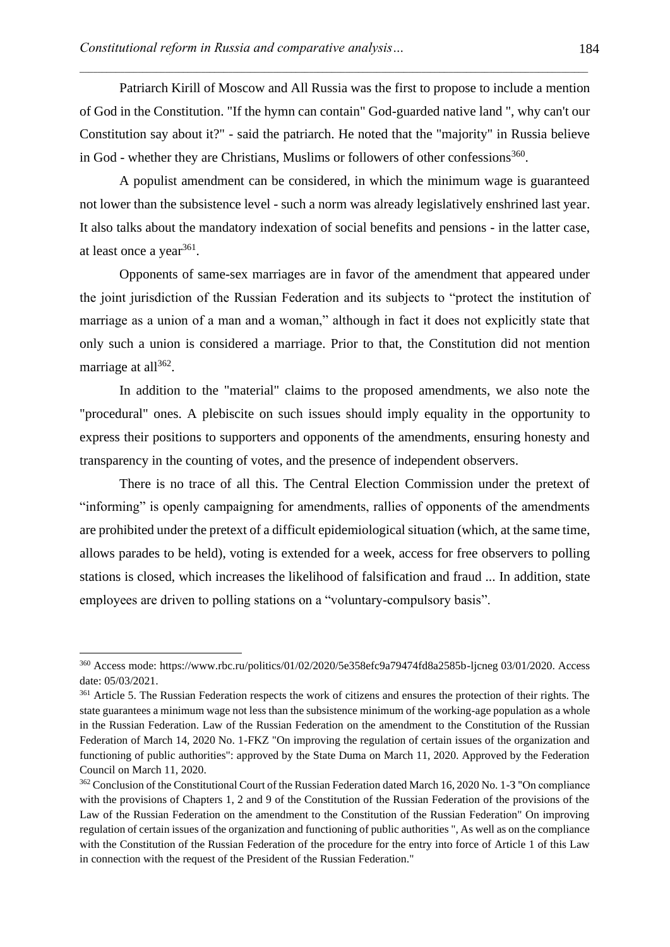Patriarch Kirill of Moscow and All Russia was the first to propose to include a mention of God in the Constitution. "If the hymn can contain" God-guarded native land ", why can't our Constitution say about it?" - said the patriarch. He noted that the "majority" in Russia believe in God - whether they are Christians, Muslims or followers of other confessions<sup>360</sup>.

\_\_\_\_\_\_\_\_\_\_\_\_\_\_\_\_\_\_\_\_\_\_\_\_\_\_\_\_\_\_\_\_\_\_\_\_\_\_\_\_\_\_\_\_\_\_\_\_\_\_\_\_\_\_\_\_\_\_\_\_\_\_\_\_\_\_\_\_\_\_\_\_\_\_\_\_\_\_\_\_\_\_\_\_\_\_\_\_\_\_\_\_\_\_\_\_\_\_\_\_\_\_\_\_\_\_\_\_\_\_\_\_\_

A populist amendment can be considered, in which the minimum wage is guaranteed not lower than the subsistence level - such a norm was already legislatively enshrined last year. It also talks about the mandatory indexation of social benefits and pensions - in the latter case, at least once a year<sup>361</sup>.

Opponents of same-sex marriages are in favor of the amendment that appeared under the joint jurisdiction of the Russian Federation and its subjects to "protect the institution of marriage as a union of a man and a woman," although in fact it does not explicitly state that only such a union is considered a marriage. Prior to that, the Constitution did not mention marriage at all<sup>362</sup>.

In addition to the "material" claims to the proposed amendments, we also note the "procedural" ones. A plebiscite on such issues should imply equality in the opportunity to express their positions to supporters and opponents of the amendments, ensuring honesty and transparency in the counting of votes, and the presence of independent observers.

There is no trace of all this. The Central Election Commission under the pretext of "informing" is openly campaigning for amendments, rallies of opponents of the amendments are prohibited under the pretext of a difficult epidemiological situation (which, at the same time, allows parades to be held), voting is extended for a week, access for free observers to polling stations is closed, which increases the likelihood of falsification and fraud ... In addition, state employees are driven to polling stations on a "voluntary-compulsory basis".

<sup>360</sup> Access mode: https://www.rbc.ru/politics/01/02/2020/5e358efc9a79474fd8a2585b-ljcneg 03/01/2020. Access date: 05/03/2021.

<sup>&</sup>lt;sup>361</sup> Article 5. The Russian Federation respects the work of citizens and ensures the protection of their rights. The state guarantees a minimum wage not less than the subsistence minimum of the working-age population as a whole in the Russian Federation. Law of the Russian Federation on the amendment to the Constitution of the Russian Federation of March 14, 2020 No. 1-FKZ "On improving the regulation of certain issues of the organization and functioning of public authorities": approved by the State Duma on March 11, 2020. Approved by the Federation Council on March 11, 2020.

<sup>362</sup> Conclusion of the Constitutional Court of the Russian Federation dated March 16, 2020 No. 1-З "On compliance with the provisions of Chapters 1, 2 and 9 of the Constitution of the Russian Federation of the provisions of the Law of the Russian Federation on the amendment to the Constitution of the Russian Federation" On improving regulation of certain issues of the organization and functioning of public authorities ", As well as on the compliance with the Constitution of the Russian Federation of the procedure for the entry into force of Article 1 of this Law in connection with the request of the President of the Russian Federation."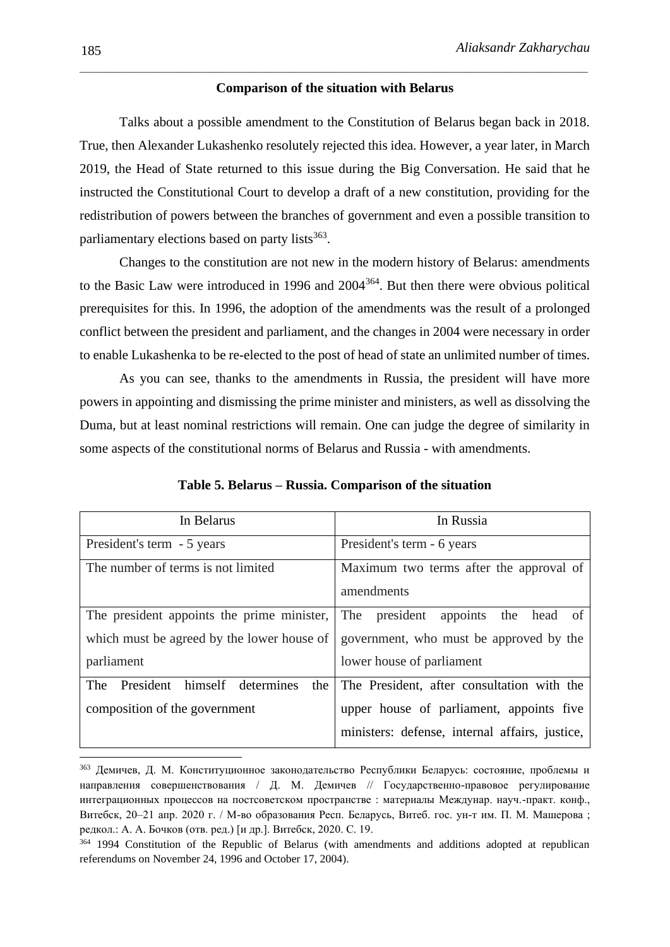## \_\_\_\_\_\_\_\_\_\_\_\_\_\_\_\_\_\_\_\_\_\_\_\_\_\_\_\_\_\_\_\_\_\_\_\_\_\_\_\_\_\_\_\_\_\_\_\_\_\_\_\_\_\_\_\_\_\_\_\_\_\_\_\_\_\_\_\_\_\_\_\_\_\_\_\_\_\_\_\_\_\_\_\_\_\_\_\_\_\_\_\_\_\_\_\_\_\_\_\_\_\_\_\_\_\_\_\_\_\_\_\_\_ **Comparison of the situation with Belarus**

Talks about a possible amendment to the Constitution of Belarus began back in 2018. True, then Alexander Lukashenko resolutely rejected this idea. However, a year later, in March 2019, the Head of State returned to this issue during the Big Conversation. He said that he instructed the Constitutional Court to develop a draft of a new constitution, providing for the redistribution of powers between the branches of government and even a possible transition to parliamentary elections based on party lists<sup>363</sup>.

Changes to the constitution are not new in the modern history of Belarus: amendments to the Basic Law were introduced in 1996 and 2004<sup>364</sup>. But then there were obvious political prerequisites for this. In 1996, the adoption of the amendments was the result of a prolonged conflict between the president and parliament, and the changes in 2004 were necessary in order to enable Lukashenka to be re-elected to the post of head of state an unlimited number of times.

As you can see, thanks to the amendments in Russia, the president will have more powers in appointing and dismissing the prime minister and ministers, as well as dissolving the Duma, but at least nominal restrictions will remain. One can judge the degree of similarity in some aspects of the constitutional norms of Belarus and Russia - with amendments.

| In Belarus                                                        | In Russia                                      |
|-------------------------------------------------------------------|------------------------------------------------|
| President's term - 5 years                                        | President's term - 6 years                     |
| The number of terms is not limited                                | Maximum two terms after the approval of        |
|                                                                   | amendments                                     |
| The president appoints the prime minister, The president appoints | the head of                                    |
| which must be agreed by the lower house of                        | government, who must be approved by the        |
| parliament                                                        | lower house of parliament                      |
| himself determines<br>President<br>The<br>the                     | The President, after consultation with the     |
| composition of the government                                     | upper house of parliament, appoints five       |
|                                                                   | ministers: defense, internal affairs, justice, |

**Table 5. Belarus – Russia. Comparison of the situation** 

<sup>363</sup> Демичев, Д. М. Конституционное законодательство Республики Беларусь: состояние, проблемы и направления совершенствования / Д. М. Демичев // Государственно-правовое регулирование интеграционных процессов на постсоветском пространстве : материалы Междунар. науч.-практ. конф., Витебск, 20–21 апр. 2020 г. / М-во образования Респ. Беларусь, Витеб. гос. ун-т им. П. М. Машерова ; редкол.: А. А. Бочков (отв. ред.) [и др.]. Витебск, 2020. С. 19.

<sup>&</sup>lt;sup>364</sup> 1994 Constitution of the Republic of Belarus (with amendments and additions adopted at republican referendums on November 24, 1996 and October 17, 2004).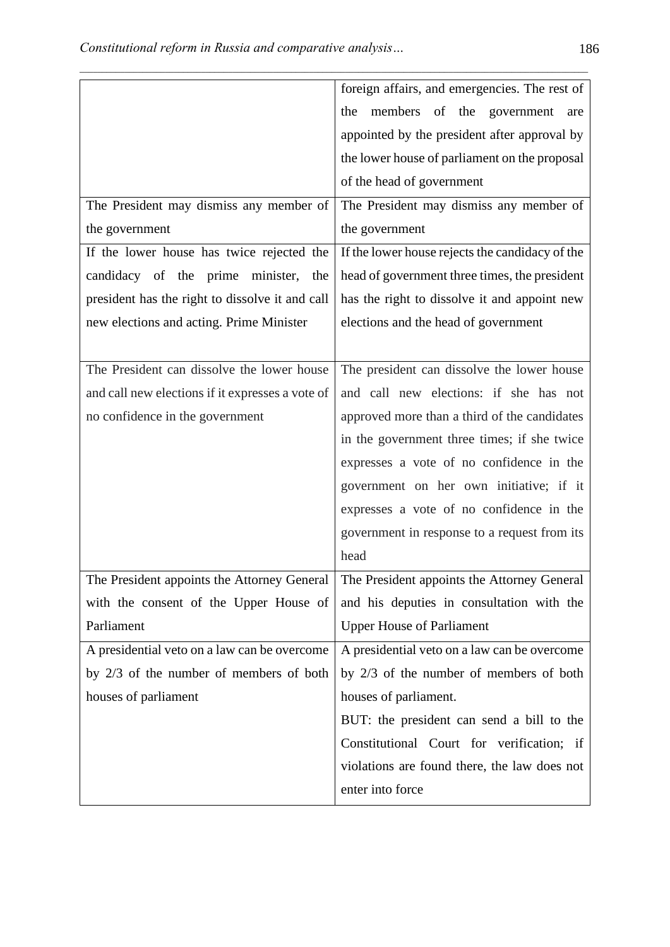|                                                  | foreign affairs, and emergencies. The rest of   |
|--------------------------------------------------|-------------------------------------------------|
|                                                  | members of the<br>government<br>the<br>are      |
|                                                  | appointed by the president after approval by    |
|                                                  | the lower house of parliament on the proposal   |
|                                                  | of the head of government                       |
| The President may dismiss any member of          | The President may dismiss any member of         |
| the government                                   | the government                                  |
| If the lower house has twice rejected the        | If the lower house rejects the candidacy of the |
| candidacy of the prime minister, the             | head of government three times, the president   |
| president has the right to dissolve it and call  | has the right to dissolve it and appoint new    |
| new elections and acting. Prime Minister         | elections and the head of government            |
|                                                  |                                                 |
| The President can dissolve the lower house       | The president can dissolve the lower house      |
| and call new elections if it expresses a vote of | and call new elections: if she has not          |
| no confidence in the government                  | approved more than a third of the candidates    |
|                                                  | in the government three times; if she twice     |
|                                                  | expresses a vote of no confidence in the        |
|                                                  | government on her own initiative; if it         |
|                                                  | expresses a vote of no confidence in the        |
|                                                  | government in response to a request from its    |
|                                                  | head                                            |
| The President appoints the Attorney General      | The President appoints the Attorney General     |
| with the consent of the Upper House of           | and his deputies in consultation with the       |
| Parliament                                       | <b>Upper House of Parliament</b>                |
| A presidential veto on a law can be overcome     | A presidential veto on a law can be overcome    |
| by 2/3 of the number of members of both          | by 2/3 of the number of members of both         |
| houses of parliament                             | houses of parliament.                           |
|                                                  | BUT: the president can send a bill to the       |
|                                                  | Constitutional Court for verification; if       |
|                                                  | violations are found there, the law does not    |
|                                                  | enter into force                                |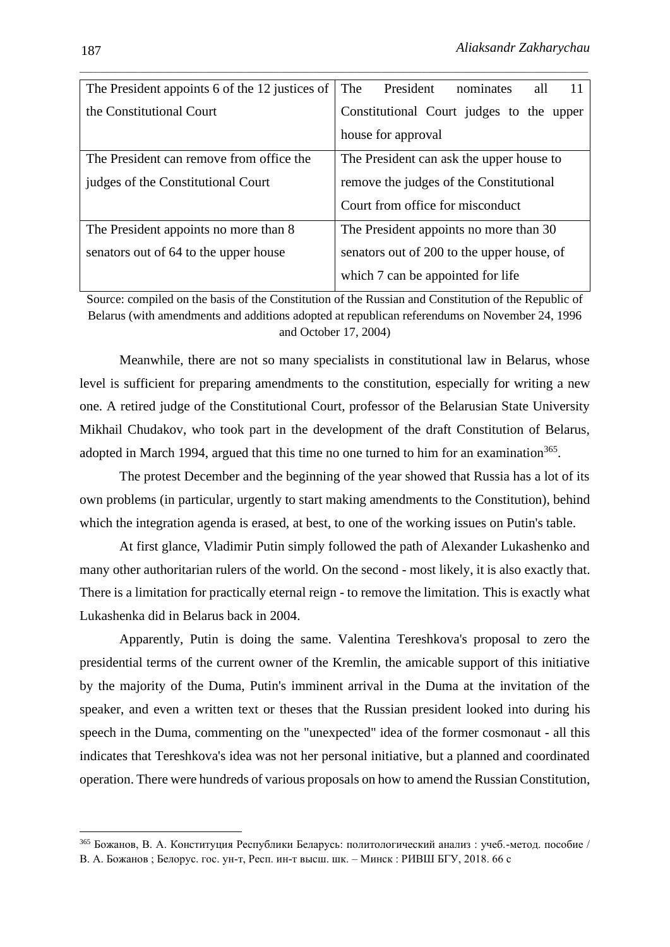| The President appoints 6 of the 12 justices of | The President<br>all<br>nominates          |
|------------------------------------------------|--------------------------------------------|
| the Constitutional Court                       | Constitutional Court judges to the upper   |
|                                                | house for approval                         |
| The President can remove from office the       | The President can ask the upper house to   |
| judges of the Constitutional Court             | remove the judges of the Constitutional    |
|                                                | Court from office for misconduct           |
| The President appoints no more than 8          | The President appoints no more than 30     |
| senators out of 64 to the upper house          | senators out of 200 to the upper house, of |
|                                                | which 7 can be appointed for life          |

Source: compiled on the basis of the Constitution of the Russian and Constitution of the Republic of Belarus (with amendments and additions adopted at republican referendums on November 24, 1996 and October 17, 2004)

Meanwhile, there are not so many specialists in constitutional law in Belarus, whose level is sufficient for preparing amendments to the constitution, especially for writing a new one. A retired judge of the Constitutional Court, professor of the Belarusian State University Mikhail Chudakov, who took part in the development of the draft Constitution of Belarus, adopted in March 1994, argued that this time no one turned to him for an examination<sup>365</sup>.

The protest December and the beginning of the year showed that Russia has a lot of its own problems (in particular, urgently to start making amendments to the Constitution), behind which the integration agenda is erased, at best, to one of the working issues on Putin's table.

At first glance, Vladimir Putin simply followed the path of Alexander Lukashenko and many other authoritarian rulers of the world. On the second - most likely, it is also exactly that. There is a limitation for practically eternal reign - to remove the limitation. This is exactly what Lukashenka did in Belarus back in 2004.

Apparently, Putin is doing the same. Valentina Tereshkova's proposal to zero the presidential terms of the current owner of the Kremlin, the amicable support of this initiative by the majority of the Duma, Putin's imminent arrival in the Duma at the invitation of the speaker, and even a written text or theses that the Russian president looked into during his speech in the Duma, commenting on the "unexpected" idea of the former cosmonaut - all this indicates that Tereshkova's idea was not her personal initiative, but a planned and coordinated operation. There were hundreds of various proposals on how to amend the Russian Constitution,

<sup>365</sup> Божанов, В. А. Конституция Республики Беларусь: политологический анализ : учеб.-метод. пособие / В. А. Божанов ; Белорус. гос. ун-т, Респ. ин-т высш. шк. – Минск : РИВШ БГУ, 2018. 66 с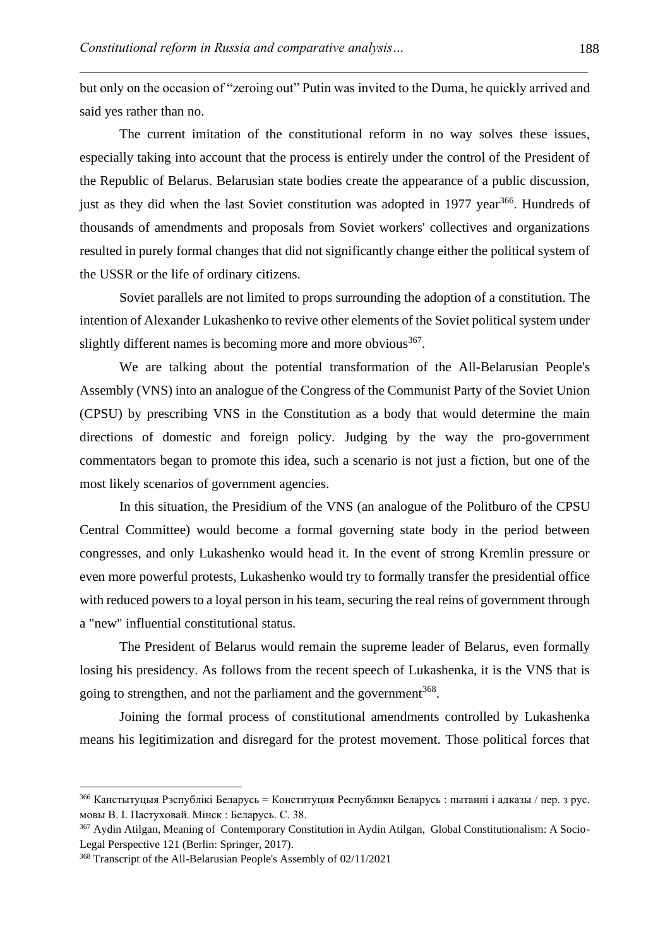but only on the occasion of "zeroing out" Putin was invited to the Duma, he quickly arrived and said yes rather than no.

\_\_\_\_\_\_\_\_\_\_\_\_\_\_\_\_\_\_\_\_\_\_\_\_\_\_\_\_\_\_\_\_\_\_\_\_\_\_\_\_\_\_\_\_\_\_\_\_\_\_\_\_\_\_\_\_\_\_\_\_\_\_\_\_\_\_\_\_\_\_\_\_\_\_\_\_\_\_\_\_\_\_\_\_\_\_\_\_\_\_\_\_\_\_\_\_\_\_\_\_\_\_\_\_\_\_\_\_\_\_\_\_\_

The current imitation of the constitutional reform in no way solves these issues, especially taking into account that the process is entirely under the control of the President of the Republic of Belarus. Belarusian state bodies create the appearance of a public discussion, just as they did when the last Soviet constitution was adopted in 1977 year<sup>366</sup>. Hundreds of thousands of amendments and proposals from Soviet workers' collectives and organizations resulted in purely formal changes that did not significantly change either the political system of the USSR or the life of ordinary citizens.

Soviet parallels are not limited to props surrounding the adoption of a constitution. The intention of Alexander Lukashenko to revive other elements of the Soviet political system under slightly different names is becoming more and more obvious<sup>367</sup>.

We are talking about the potential transformation of the All-Belarusian People's Assembly (VNS) into an analogue of the Congress of the Communist Party of the Soviet Union (CPSU) by prescribing VNS in the Constitution as a body that would determine the main directions of domestic and foreign policy. Judging by the way the pro-government commentators began to promote this idea, such a scenario is not just a fiction, but one of the most likely scenarios of government agencies.

In this situation, the Presidium of the VNS (an analogue of the Politburo of the CPSU Central Committee) would become a formal governing state body in the period between congresses, and only Lukashenko would head it. In the event of strong Kremlin pressure or even more powerful protests, Lukashenko would try to formally transfer the presidential office with reduced powers to a loyal person in his team, securing the real reins of government through a "new" influential constitutional status.

The President of Belarus would remain the supreme leader of Belarus, even formally losing his presidency. As follows from the recent speech of Lukashenka, it is the VNS that is going to strengthen, and not the parliament and the government<sup>368</sup>.

Joining the formal process of constitutional amendments controlled by Lukashenka means his legitimization and disregard for the protest movement. Those political forces that

<sup>366</sup> Канстытуцыя Рэспублікі Беларусь = Конституция Республики Беларусь : пытанні і адказы / пер. з рус. мовы В. І. Пастуховай. Мінск : Беларусь. С. 38.

<sup>367</sup> Aydin Atilgan, Meaning of Contemporary Constitution in Aydin Atilgan, Global Constitutionalism: A Socio-Legal Perspective 121 (Berlin: Springer, 2017).

<sup>368</sup> Transcript of the All-Belarusian People's Assembly of 02/11/2021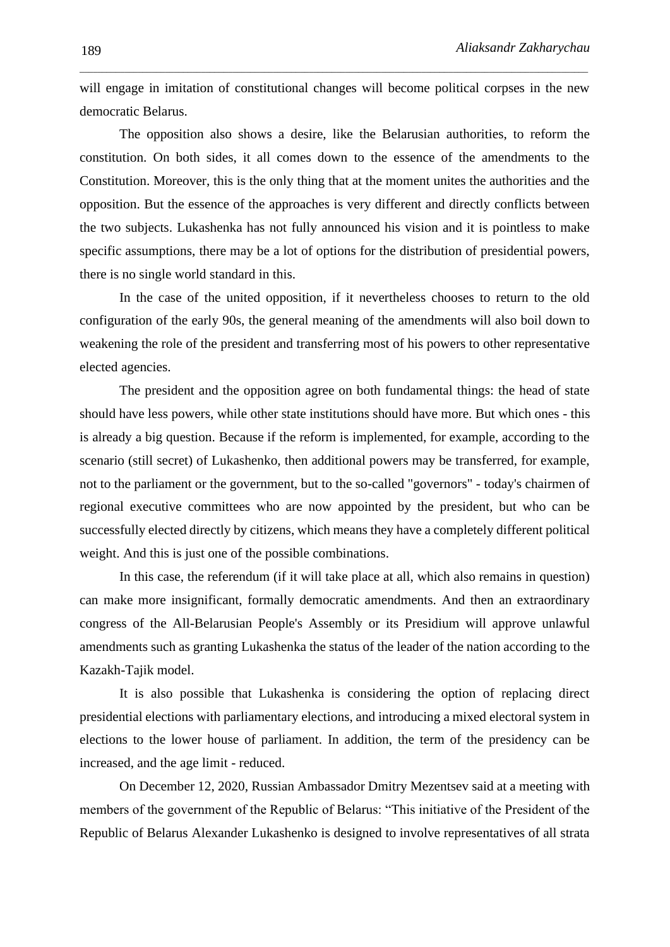will engage in imitation of constitutional changes will become political corpses in the new democratic Belarus.

\_\_\_\_\_\_\_\_\_\_\_\_\_\_\_\_\_\_\_\_\_\_\_\_\_\_\_\_\_\_\_\_\_\_\_\_\_\_\_\_\_\_\_\_\_\_\_\_\_\_\_\_\_\_\_\_\_\_\_\_\_\_\_\_\_\_\_\_\_\_\_\_\_\_\_\_\_\_\_\_\_\_\_\_\_\_\_\_\_\_\_\_\_\_\_\_\_\_\_\_\_\_\_\_\_\_\_\_\_\_\_\_\_

The opposition also shows a desire, like the Belarusian authorities, to reform the constitution. On both sides, it all comes down to the essence of the amendments to the Constitution. Moreover, this is the only thing that at the moment unites the authorities and the opposition. But the essence of the approaches is very different and directly conflicts between the two subjects. Lukashenka has not fully announced his vision and it is pointless to make specific assumptions, there may be a lot of options for the distribution of presidential powers, there is no single world standard in this.

In the case of the united opposition, if it nevertheless chooses to return to the old configuration of the early 90s, the general meaning of the amendments will also boil down to weakening the role of the president and transferring most of his powers to other representative elected agencies.

The president and the opposition agree on both fundamental things: the head of state should have less powers, while other state institutions should have more. But which ones - this is already a big question. Because if the reform is implemented, for example, according to the scenario (still secret) of Lukashenko, then additional powers may be transferred, for example, not to the parliament or the government, but to the so-called "governors" - today's chairmen of regional executive committees who are now appointed by the president, but who can be successfully elected directly by citizens, which means they have a completely different political weight. And this is just one of the possible combinations.

In this case, the referendum (if it will take place at all, which also remains in question) can make more insignificant, formally democratic amendments. And then an extraordinary congress of the All-Belarusian People's Assembly or its Presidium will approve unlawful amendments such as granting Lukashenka the status of the leader of the nation according to the Kazakh-Tajik model.

It is also possible that Lukashenka is considering the option of replacing direct presidential elections with parliamentary elections, and introducing a mixed electoral system in elections to the lower house of parliament. In addition, the term of the presidency can be increased, and the age limit - reduced.

On December 12, 2020, Russian Ambassador Dmitry Mezentsev said at a meeting with members of the government of the Republic of Belarus: "This initiative of the President of the Republic of Belarus Alexander Lukashenko is designed to involve representatives of all strata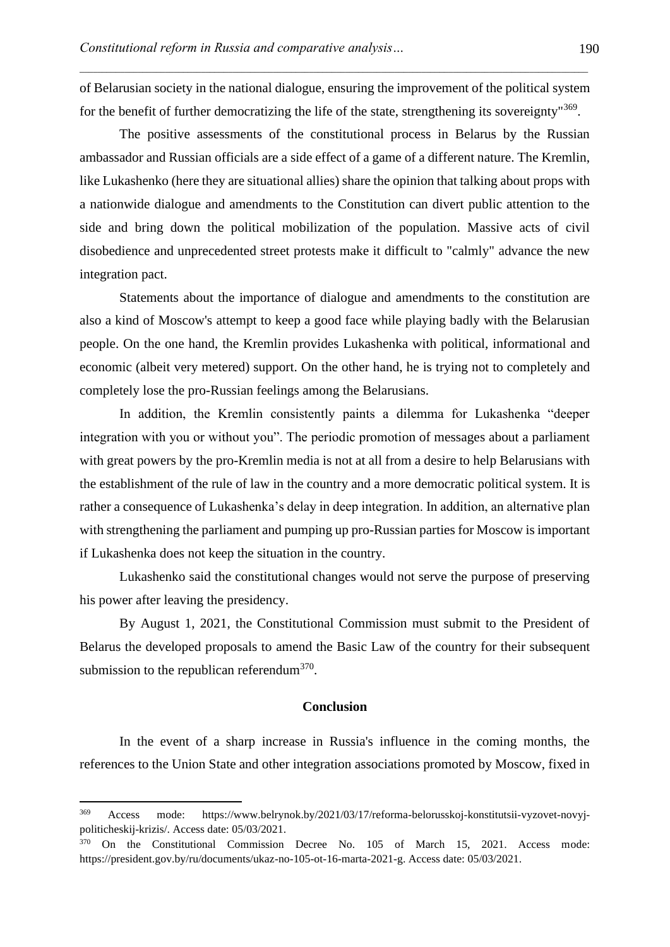of Belarusian society in the national dialogue, ensuring the improvement of the political system for the benefit of further democratizing the life of the state, strengthening its sovereignty"<sup>369</sup>.

\_\_\_\_\_\_\_\_\_\_\_\_\_\_\_\_\_\_\_\_\_\_\_\_\_\_\_\_\_\_\_\_\_\_\_\_\_\_\_\_\_\_\_\_\_\_\_\_\_\_\_\_\_\_\_\_\_\_\_\_\_\_\_\_\_\_\_\_\_\_\_\_\_\_\_\_\_\_\_\_\_\_\_\_\_\_\_\_\_\_\_\_\_\_\_\_\_\_\_\_\_\_\_\_\_\_\_\_\_\_\_\_\_

The positive assessments of the constitutional process in Belarus by the Russian ambassador and Russian officials are a side effect of a game of a different nature. The Kremlin, like Lukashenko (here they are situational allies) share the opinion that talking about props with a nationwide dialogue and amendments to the Constitution can divert public attention to the side and bring down the political mobilization of the population. Massive acts of civil disobedience and unprecedented street protests make it difficult to "calmly" advance the new integration pact.

Statements about the importance of dialogue and amendments to the constitution are also a kind of Moscow's attempt to keep a good face while playing badly with the Belarusian people. On the one hand, the Kremlin provides Lukashenka with political, informational and economic (albeit very metered) support. On the other hand, he is trying not to completely and completely lose the pro-Russian feelings among the Belarusians.

In addition, the Kremlin consistently paints a dilemma for Lukashenka "deeper integration with you or without you". The periodic promotion of messages about a parliament with great powers by the pro-Kremlin media is not at all from a desire to help Belarusians with the establishment of the rule of law in the country and a more democratic political system. It is rather a consequence of Lukashenka's delay in deep integration. In addition, an alternative plan with strengthening the parliament and pumping up pro-Russian parties for Moscow is important if Lukashenka does not keep the situation in the country.

Lukashenko said the constitutional changes would not serve the purpose of preserving his power after leaving the presidency.

By August 1, 2021, the Constitutional Commission must submit to the President of Belarus the developed proposals to amend the Basic Law of the country for their subsequent submission to the republican referendum<sup>370</sup>.

#### **Conclusion**

In the event of a sharp increase in Russia's influence in the coming months, the references to the Union State and other integration associations promoted by Moscow, fixed in

<sup>369</sup> Access mode: https://www.belrynok.by/2021/03/17/reforma-belorusskoj-konstitutsii-vyzovet-novyjpoliticheskij-krizis/. Access date: 05/03/2021.

<sup>370</sup> On the Constitutional Commission Decree No. 105 of March 15, 2021. Access mode: https://president.gov.by/ru/documents/ukaz-no-105-ot-16-marta-2021-g. Access date: 05/03/2021.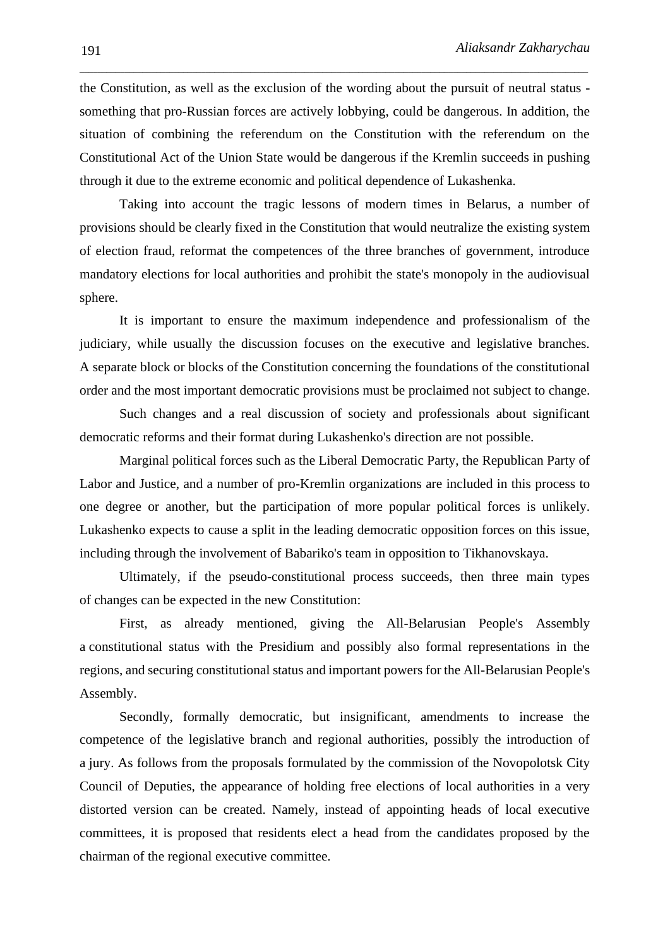the Constitution, as well as the exclusion of the wording about the pursuit of neutral status something that pro-Russian forces are actively lobbying, could be dangerous. In addition, the situation of combining the referendum on the Constitution with the referendum on the Constitutional Act of the Union State would be dangerous if the Kremlin succeeds in pushing through it due to the extreme economic and political dependence of Lukashenka.

\_\_\_\_\_\_\_\_\_\_\_\_\_\_\_\_\_\_\_\_\_\_\_\_\_\_\_\_\_\_\_\_\_\_\_\_\_\_\_\_\_\_\_\_\_\_\_\_\_\_\_\_\_\_\_\_\_\_\_\_\_\_\_\_\_\_\_\_\_\_\_\_\_\_\_\_\_\_\_\_\_\_\_\_\_\_\_\_\_\_\_\_\_\_\_\_\_\_\_\_\_\_\_\_\_\_\_\_\_\_\_\_\_

Taking into account the tragic lessons of modern times in Belarus, a number of provisions should be clearly fixed in the Constitution that would neutralize the existing system of election fraud, reformat the competences of the three branches of government, introduce mandatory elections for local authorities and prohibit the state's monopoly in the audiovisual sphere.

It is important to ensure the maximum independence and professionalism of the judiciary, while usually the discussion focuses on the executive and legislative branches. A separate block or blocks of the Constitution concerning the foundations of the constitutional order and the most important democratic provisions must be proclaimed not subject to change.

Such changes and a real discussion of society and professionals about significant democratic reforms and their format during Lukashenko's direction are not possible.

Marginal political forces such as the Liberal Democratic Party, the Republican Party of Labor and Justice, and a number of pro-Kremlin organizations are included in this process to one degree or another, but the participation of more popular political forces is unlikely. Lukashenko expects to cause a split in the leading democratic opposition forces on this issue, including through the involvement of Babariko's team in opposition to Tikhanovskaya.

Ultimately, if the pseudo-constitutional process succeeds, then three main types of changes can be expected in the new Constitution:

First, as already mentioned, giving the All-Belarusian People's Assembly a constitutional status with the Presidium and possibly also formal representations in the regions, and securing constitutional status and important powers for the All-Belarusian People's Assembly.

Secondly, formally democratic, but insignificant, amendments to increase the competence of the legislative branch and regional authorities, possibly the introduction of a jury. As follows from the proposals formulated by the commission of the Novopolotsk City Council of Deputies, the appearance of holding free elections of local authorities in a very distorted version can be created. Namely, instead of appointing heads of local executive committees, it is proposed that residents elect a head from the candidates proposed by the chairman of the regional executive committee.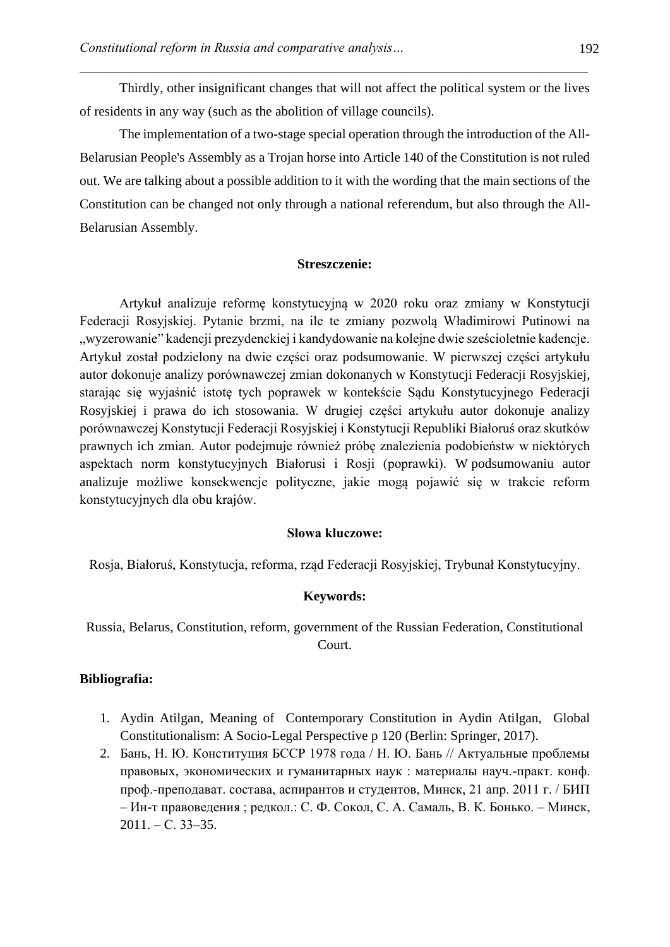Thirdly, other insignificant changes that will not affect the political system or the lives of residents in any way (such as the abolition of village councils).

\_\_\_\_\_\_\_\_\_\_\_\_\_\_\_\_\_\_\_\_\_\_\_\_\_\_\_\_\_\_\_\_\_\_\_\_\_\_\_\_\_\_\_\_\_\_\_\_\_\_\_\_\_\_\_\_\_\_\_\_\_\_\_\_\_\_\_\_\_\_\_\_\_\_\_\_\_\_\_\_\_\_\_\_\_\_\_\_\_\_\_\_\_\_\_\_\_\_\_\_\_\_\_\_\_\_\_\_\_\_\_\_\_

The implementation of a two-stage special operation through the introduction of the All-Belarusian People's Assembly as a Trojan horse into Article 140 of the Constitution is not ruled out. We are talking about a possible addition to it with the wording that the main sections of the Constitution can be changed not only through a national referendum, but also through the All-Belarusian Assembly.

#### **Streszczenie:**

Artykuł analizuje reformę konstytucyjną w 2020 roku oraz zmiany w Konstytucji Federacji Rosyjskiej. Pytanie brzmi, na ile te zmiany pozwolą Władimirowi Putinowi na "wyzerowanie" kadencii prezydenckiej i kandydowanie na kolejne dwie sześcioletnie kadencje. Artykuł został podzielony na dwie części oraz podsumowanie. W pierwszej części artykułu autor dokonuje analizy porównawczej zmian dokonanych w Konstytucji Federacji Rosyjskiej, starając się wyjaśnić istotę tych poprawek w kontekście Sądu Konstytucyjnego Federacji Rosyjskiej i prawa do ich stosowania. W drugiej części artykułu autor dokonuje analizy porównawczej Konstytucji Federacji Rosyjskiej i Konstytucji Republiki Białoruś oraz skutków prawnych ich zmian. Autor podejmuje również próbę znalezienia podobieństw w niektórych aspektach norm konstytucyjnych Białorusi i Rosji (poprawki). W podsumowaniu autor analizuje możliwe konsekwencje polityczne, jakie mogą pojawić się w trakcie reform konstytucyjnych dla obu krajów.

#### **Słowa kluczowe:**

Rosja, Białoruś, Konstytucja, reforma, rząd Federacji Rosyjskiej, Trybunał Konstytucyjny.

#### **Keywords:**

Russia, Belarus, Constitution, reform, government of the Russian Federation, Constitutional Court.

#### **Bibliografia:**

- 1. Aydin Atilgan, Meaning of Contemporary Constitution in Aydin Atilgan, Global Constitutionalism: A Socio-Legal Perspective p 120 (Berlin: Springer, 2017).
- 2. Бань, Н. Ю. Конституция БССР 1978 года / Н. Ю. Бань // Актуальные проблемы правовых, экономических и гуманитарных наук : материалы науч.-практ. конф. проф.-преподават. состава, аспирантов и студентов, Минск, 21 апр. 2011 г. / БИП – Ин-т правоведения ; редкол.: С. Ф. Сокол, С. А. Самаль, В. К. Бонько. – Минск,  $2011. - C. 33 - 35.$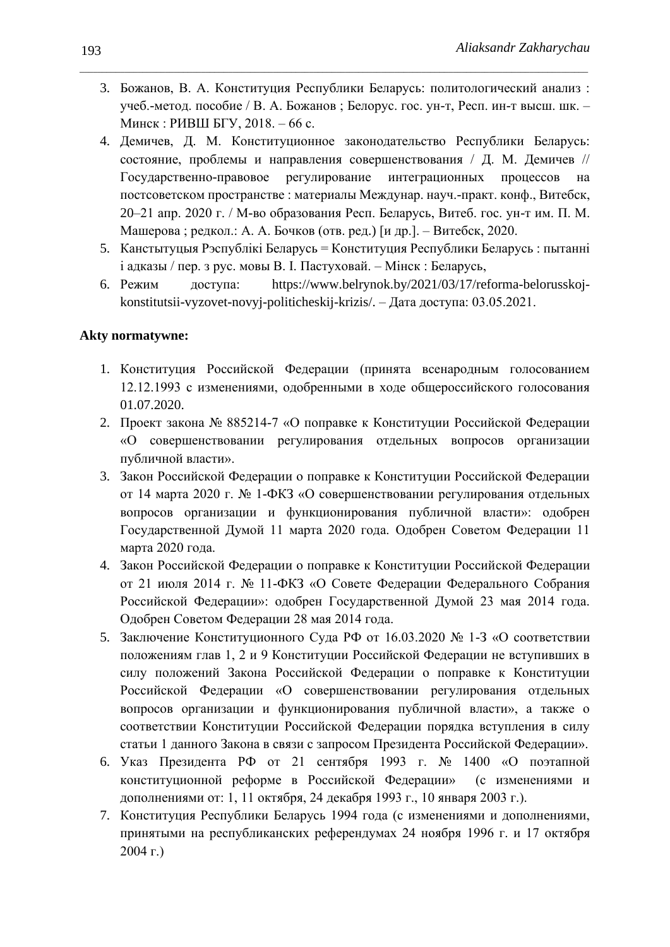3. Божанов, В. А. Конституция Республики Беларусь: политологический анализ : учеб.-метод. пособие / В. А. Божанов ; Белорус. гос. ун-т, Респ. ин-т высш. шк. – Минск : РИВШ БГУ, 2018. – 66 с.

\_\_\_\_\_\_\_\_\_\_\_\_\_\_\_\_\_\_\_\_\_\_\_\_\_\_\_\_\_\_\_\_\_\_\_\_\_\_\_\_\_\_\_\_\_\_\_\_\_\_\_\_\_\_\_\_\_\_\_\_\_\_\_\_\_\_\_\_\_\_\_\_\_\_\_\_\_\_\_\_\_\_\_\_\_\_\_\_\_\_\_\_\_\_\_\_\_\_\_\_\_\_\_\_\_\_\_\_\_\_\_\_\_

- 4. Демичев, Д. М. Конституционное законодательство Республики Беларусь: состояние, проблемы и направления совершенствования / Д. М. Демичев // Государственно-правовое регулирование интеграционных процессов на постсоветском пространстве : материалы Междунар. науч.-практ. конф., Витебск, 20–21 апр. 2020 г. / М-во образования Респ. Беларусь, Витеб. гос. ун-т им. П. М. Машерова ; редкол.: А. А. Бочков (отв. ред.) [и др.]. – Витебск, 2020.
- 5. Канстытуцыя Рэспублікі Беларусь = Конституция Республики Беларусь : пытанні і адказы / пер. з рус. мовы В. І. Пастуховай. – Мінск : Беларусь,
- 6. Режим доступа: https://www.belrynok.by/2021/03/17/reforma-belorusskojkonstitutsii-vyzovet-novyj-politicheskij-krizis/. – Дата доступа: 03.05.2021.

## **Akty normatywne:**

- 1. Конституция Российской Федерации (принята всенародным голосованием 12.12.1993 с изменениями, одобренными в ходе общероссийского голосования 01.07.2020.
- 2. Проект закона № 885214-7 «О поправке к Конституции Российской Федерации «О совершенствовании регулирования отдельных вопросов организации публичной власти».
- 3. Закон Российской Федерации о поправке к Конституции Российской Федерации от 14 марта 2020 г. № 1-ФКЗ «О совершенствовании регулирования отдельных вопросов организации и функционирования публичной власти»: одобрен Государственной Думой 11 марта 2020 года. Одобрен Советом Федерации 11 марта 2020 года.
- 4. Закон Российской Федерации о поправке к Конституции Российской Федерации от 21 июля 2014 г. № 11-ФКЗ «О Совете Федерации Федерального Собрания Российской Федерации»: одобрен Государственной Думой 23 мая 2014 года. Одобрен Советом Федерации 28 мая 2014 года.
- 5. Заключение Конституционного Суда РФ от 16.03.2020 № 1-3 «О соответствии положениям глав 1, 2 и 9 Конституции Российской Федерации не вступивших в силу положений Закона Российской Федерации о поправке к Конституции Российской Федерации «О совершенствовании регулирования отдельных вопросов организации и функционирования публичной власти», а также о соответствии Конституции Российской Федерации порядка вступления в силу статьи 1 данного Закона в связи с запросом Президента Российской Федерации».
- 6. Указ Президента РФ от 21 сентября 1993 г. № 1400 «О поэтапной конституционной реформе в Российской Федерации» (с изменениями и дополнениями от: 1, 11 октября, 24 декабря 1993 г., 10 января 2003 г.).
- 7. Конституция Республики Беларусь 1994 года (с изменениями и дополнениями, принятыми на республиканских референдумах 24 ноября 1996 г. и 17 октября 2004 г.)